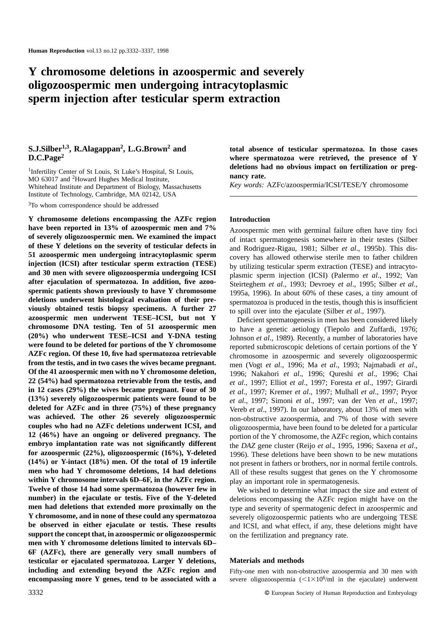# **Y chromosome deletions in azoospermic and severely oligozoospermic men undergoing intracytoplasmic sperm injection after testicular sperm extraction**

# **S.J.Silber1,3, R.Alagappan2, L.G.Brown2 and D.C.Page2**

1Infertility Center of St Louis, St Luke's Hospital, St Louis, MO 63017 and 2Howard Hughes Medical Institute, Whitehead Institute and Department of Biology, Massachusetts Institute of Technology, Cambridge, MA 02142, USA

<sup>3</sup>To whom correspondence should be addressed

**Y chromosome deletions encompassing the AZFc region have been reported in 13% of azoospermic men and 7% of severely oligozoospermic men. We examined the impact of these Y deletions on the severity of testicular defects in 51 azoospermic men undergoing intracytoplasmic sperm injection (ICSI) after testicular sperm extraction (TESE) and 30 men with severe oligozoospermia undergoing ICSI after ejaculation of spermatozoa. In addition, five azoospermic patients shown previously to have Y chromosome deletions underwent histological evaluation of their previously obtained testis biopsy specimens. A further 27 azoospermic men underwent TESE–ICSI, but not Y chromosome DNA testing. Ten of 51 azoospermic men (20%) who underwent TESE–ICSI and Y-DNA testing were found to be deleted for portions of the Y chromosome AZFc region. Of these 10, five had spermatozoa retrievable from the testis, and in two cases the wives became pregnant. Of the 41 azoospermic men with no Y chromosome deletion, 22 (54%) had spermatozoa retrievable from the testis, and in 12 cases (29%) the wives became pregnant. Four of 30 (13%) severely oligozoospermic patients were found to be deleted for AZFc and in three (75%) of these pregnancy was achieved. The other 26 severely oligozoospermic couples who had no AZFc deletions underwent ICSI, and 12 (46%) have an ongoing or delivered pregnancy. The embryo implantation rate was not significantly different for azoospermic (22%), oligozoospermic (16%), Y-deleted (14%) or Y-intact (18%) men. Of the total of 19 infertile men who had Y chromosome deletions, 14 had deletions within Y chromosome intervals 6D–6F, in the AZFc region. Twelve of those 14 had some spermatozoa (however few in number) in the ejaculate or testis. Five of the Y-deleted men had deletions that extended more proximally on the Y chromosome, and in none of these could any spermatozoa be observed in either ejaculate or testis. These results support the concept that, in azoospermic or oligozoospermic men with Y chromosome deletions limited to intervals 6D– 6F (AZFc), there are generally very small numbers of testicular or ejaculated spermatozoa. Larger Y deletions, including and extending beyond the AZFc region and encompassing more Y genes, tend to be associated with a**

**total absence of testicular spermatozoa. In those cases where spermatozoa were retrieved, the presence of Y deletions had no obvious impact on fertilization or pregnancy rate.**

*Key words:* AZFc/azoospermia/ICSI/TESE/Y chromosome

## **Introduction**

Azoospermic men with germinal failure often have tiny foci of intact spermatogenesis somewhere in their testes (Silber and Rodriguez-Rigau, 1981; Silber *et al*., 1995b). This discovery has allowed otherwise sterile men to father children by utilizing testicular sperm extraction (TESE) and intracytoplasmic sperm injection (ICSI) (Palermo *et al*., 1992; Van Steirteghem *et al*., 1993; Devroey *et al*., 1995; Silber *et al*., 1995a, 1996). In about 60% of these cases, a tiny amount of spermatozoa is produced in the testis, though this is insufficient to spill over into the ejaculate (Silber *et al*., 1997).

Deficient spermatogenesis in men has been considered likely to have a genetic aetiology (Tiepolo and Zuffardi, 1976; Johnson *et al*., 1989). Recently, a number of laboratories have reported submicroscopic deletions of certain portions of the Y chromosome in azoospermic and severely oligozoospermic men (Vogt *et al*., 1996; Ma *et al*., 1993; Najmabadi *et al*., 1996; Nakahori *et al*., 1996; Qureshi *et al*., 1996; Chai *et al*., 1997; Elliot *et al*., 1997; Foresta *et al*., 1997; Girardi *et al*., 1997; Kremer *et al*., 1997; Mulhall *et al*., 1997; Pryor *et al*., 1997; Simoni *et al*., 1997; van der Ven *et al*., 1997; Vereb *et al*., 1997). In our laboratory, about 13% of men with non-obstructive azoospermia, and 7% of those with severe oligozoospermia, have been found to be deleted for a particular portion of the Y chromosome, the AZFc region, which contains the *DAZ* gene cluster (Reijo *et al*., 1995, 1996; Saxena *et al*., 1996). These deletions have been shown to be new mutations not present in fathers or brothers, nor in normal fertile controls. All of these results suggest that genes on the Y chromosome play an important role in spermatogenesis.

We wished to determine what impact the size and extent of deletions encompassing the AZFc region might have on the type and severity of spermatogenic defect in azoospermic and severely oligozoospermic patients who are undergoing TESE and ICSI, and what effect, if any, these deletions might have on the fertilization and pregnancy rate.

## **Materials and methods**

Fifty-one men with non-obstructive azoospermia and 30 men with severe oligozoospermia  $\left(\frac{1\times10^{6}}{m}\right)$  in the ejaculate) underwent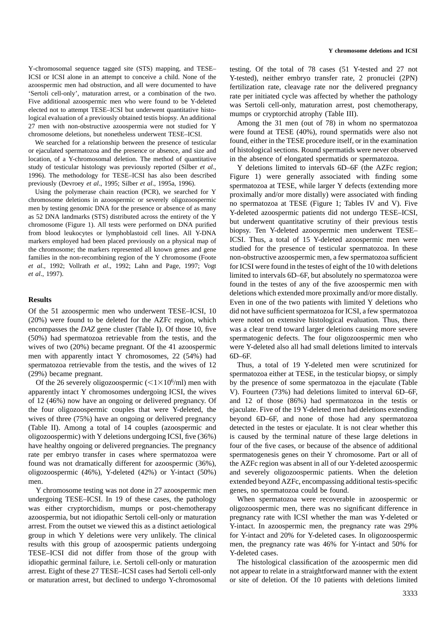Y-chromosomal sequence tagged site (STS) mapping, and TESE– ICSI or ICSI alone in an attempt to conceive a child. None of the azoospermic men had obstruction, and all were documented to have 'Sertoli cell-only', maturation arrest, or a combination of the two. Five additional azoospermic men who were found to be Y-deleted elected not to attempt TESE–ICSI but underwent quantitative histological evaluation of a previously obtained testis biopsy. An additional 27 men with non-obstructive azoospermia were not studied for Y chromosome deletions, but nonetheless underwent TESE–ICSI.

We searched for a relationship between the presence of testicular or ejaculated spermatozoa and the presence or absence, and size and location, of a Y-chromosomal deletion. The method of quantitative study of testicular histology was previously reported (Silber *et al*., 1996). The methodology for TESE–ICSI has also been described previously (Devroey *et al*., 1995; Silber *et al*., 1995a, 1996).

Using the polymerase chain reaction (PCR), we searched for Y chromosome deletions in azoospermic or severely oligozoospermic men by testing genomic DNA for the presence or absence of as many as 52 DNA landmarks (STS) distributed across the entirety of the Y chromosome (Figure 1). All tests were performed on DNA purified from blood leukocytes or lymphoblastoid cell lines. All Y-DNA markers employed had been placed previously on a physical map of the chromosome; the markers represented all known genes and gene families in the non-recombining region of the Y chromosome (Foote *et al*., 1992; Vollrath *et al*., 1992; Lahn and Page, 1997; Vogt *et al*., 1997).

#### **Results**

Of the 51 azoospermic men who underwent TESE–ICSI, 10 (20%) were found to be deleted for the AZFc region, which encompasses the *DAZ* gene cluster (Table I). Of those 10, five (50%) had spermatozoa retrievable from the testis, and the wives of two (20%) became pregnant. Of the 41 azoospermic men with apparently intact Y chromosomes, 22 (54%) had spermatozoa retrievable from the testis, and the wives of 12 (29%) became pregnant.

Of the 26 severely oligozoospermic  $\left(\frac{1\times10^{6}}{m}\right)$  men with apparently intact Y chromosomes undergoing ICSI, the wives of 12 (46%) now have an ongoing or delivered pregnancy. Of the four oligozoospermic couples that were Y-deleted, the wives of three (75%) have an ongoing or delivered pregnancy (Table II). Among a total of 14 couples (azoospermic and oligozoospermic) with Y deletions undergoing ICSI, five (36%) have healthy ongoing or delivered pregnancies. The pregnancy rate per embryo transfer in cases where spermatozoa were found was not dramatically different for azoospermic (36%), oligozoospermic (46%), Y-deleted (42%) or Y-intact (50%) men.

Y chromosome testing was not done in 27 azoospermic men undergoing TESE–ICSI. In 19 of these cases, the pathology was either cryptorchidism, mumps or post-chemotherapy azoospermia, but not idiopathic Sertoli cell-only or maturation arrest. From the outset we viewed this as a distinct aetiological group in which Y deletions were very unlikely. The clinical results with this group of azoospermic patients undergoing TESE–ICSI did not differ from those of the group with idiopathic germinal failure, i.e. Sertoli cell-only or maturation arrest. Eight of these 27 TESE–ICSI cases had Sertoli cell-only or maturation arrest, but declined to undergo Y-chromosomal testing. Of the total of 78 cases (51 Y-tested and 27 not Y-tested), neither embryo transfer rate, 2 pronuclei (2PN) fertilization rate, cleavage rate nor the delivered pregnancy rate per initiated cycle was affected by whether the pathology was Sertoli cell-only, maturation arrest, post chemotherapy, mumps or cryptorchid atrophy (Table III).

Among the 31 men (out of 78) in whom no spermatozoa were found at TESE (40%), round spermatids were also not found, either in the TESE procedure itself, or in the examination of histological sections. Round spermatids were never observed in the absence of elongated spermatids or spermatozoa.

Y deletions limited to intervals 6D–6F (the AZFc region; Figure 1) were generally associated with finding some spermatozoa at TESE, while larger Y defects (extending more proximally and/or more distally) were associated with finding no spermatozoa at TESE (Figure 1; Tables IV and V). Five Y-deleted azoospermic patients did not undergo TESE–ICSI, but underwent quantitative scrutiny of their previous testis biopsy. Ten Y-deleted azoospermic men underwent TESE– ICSI. Thus, a total of 15 Y-deleted azoospermic men were studied for the presence of testicular spermatozoa. In these non-obstructive azoospermic men, a few spermatozoa sufficient for ICSI were found in the testes of eight of the 10 with deletions limited to intervals 6D–6F, but absolutely no spermatozoa were found in the testes of any of the five azoospermic men with deletions which extended more proximally and/or more distally. Even in one of the two patients with limited Y deletions who did not have sufficient spermatozoa for ICSI, a few spermatozoa were noted on extensive histological evaluation. Thus, there was a clear trend toward larger deletions causing more severe spermatogenic defects. The four oligozoospermic men who were Y-deleted also all had small deletions limited to intervals 6D–6F.

Thus, a total of 19 Y-deleted men were scrutinized for spermatozoa either at TESE, in the testicular biopsy, or simply by the presence of some spermatozoa in the ejaculate (Table V). Fourteen (73%) had deletions limited to interval 6D–6F, and 12 of those (86%) had spermatozoa in the testis or ejaculate. Five of the 19 Y-deleted men had deletions extending beyond 6D–6F, and none of those had any spermatozoa detected in the testes or ejaculate. It is not clear whether this is caused by the terminal nature of these large deletions in four of the five cases, or because of the absence of additional spermatogenesis genes on their Y chromosome. Part or all of the AZFc region was absent in all of our Y-deleted azoospermic and severely oligozoospermic patients. When the deletion extended beyond AZFc, encompassing additional testis-specific genes, no spermatozoa could be found.

When spermatozoa were recoverable in azoospermic or oligozoospermic men, there was no significant difference in pregnancy rate with ICSI whether the man was Y-deleted or Y-intact. In azoospermic men, the pregnancy rate was 29% for Y-intact and 20% for Y-deleted cases. In oligozoospermic men, the pregnancy rate was 46% for Y-intact and 50% for Y-deleted cases.

The histological classification of the azoospermic men did not appear to relate in a straightforward manner with the extent or site of deletion. Of the 10 patients with deletions limited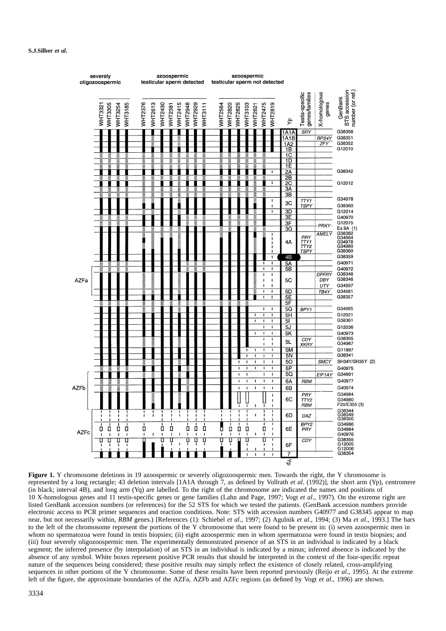

Figure 1. Y chromosome deletions in 19 azoospermic or severely oligozoospermic men. Towards the right, the Y chromosome is represented by a long rectangle; 43 deletion intervals [1A1A through 7, as defined by Vollrath *et al*. (1992)], the short arm (Yp), centromere (in black; interval 4B), and long arm (Yq) are labelled. To the right of the chromosome are indicated the names and positions of 10 X-homologous genes and 11 testis-specific genes or gene families (Lahn and Page, 1997; Vogt *et al*., 1997). On the extreme right are listed GenBank accession numbers (or references) for the 52 STS for which we tested the patients. (GenBank accession numbers provide electronic access to PCR primer sequences and reaction conditions. Note: STS with accession numbers G40977 and G38345 appear to map near, but not necessarily within, *RBM* genes.) [References (1): Schiebel *et al*., 1997; (2) Agulnik *et al*., 1994; (3) Ma *et al*., 1993.] The bars to the left of the chromosome represent the portions of the Y chromosome that were found to be present in: (i) seven azoospermic men in whom no spermatozoa were found in testis biopsies; (ii) eight azoospermic men in whom spermatozoa were found in testis biopsies; and (iii) four severely oligozoospermic men. The experimentally demonstrated presence of an STS in an individual is indicated by a black segment; the inferred presence (by interpolation) of an STS in an individual is indicated by a minus; inferred absence is indicated by the absence of any symbol. White boxes represent positive PCR results that should be interpreted in the context of the four-specific repeat nature of the sequences being considered; these positive results may simply reflect the existence of closely related, cross-amplifying sequences in other portions of the Y chromosome. Some of these results have been reported previously (Reijo *et al*., 1995). At the extreme left of the figure, the approximate boundaries of the AZFa, AZFb and AZFc regions (as defined by Vogt *et al*., 1996) are shown.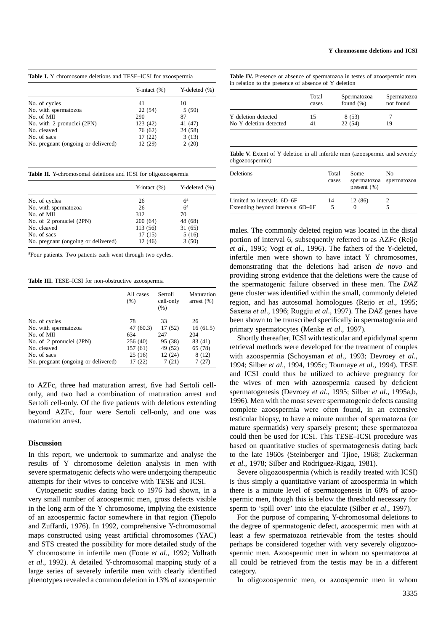|  | <b>Y</b> chromosome deletions and ICSI |  |  |  |
|--|----------------------------------------|--|--|--|
|--|----------------------------------------|--|--|--|

|  |  |  |  |  |  |  | <b>Table I.</b> Y chromosome deletions and TESE–ICSI for azoospermia |
|--|--|--|--|--|--|--|----------------------------------------------------------------------|
|--|--|--|--|--|--|--|----------------------------------------------------------------------|

|                                     | Y-intact $(\%)$ | Y-deleted $(\% )$ |
|-------------------------------------|-----------------|-------------------|
| No. of cycles                       | 41              | 10                |
| No. with spermatozoa                | 22(54)          | 5(50)             |
| No. of MII                          | 290             | 87                |
| No. with 2 pronuclei (2PN)          | 123 (42)        | 41 (47)           |
| No. cleaved                         | 76 (62)         | 24 (58)           |
| No. of sacs                         | 17(22)          | 3(13)             |
| No. pregnant (ongoing or delivered) | 12 (29)         | 2(20)             |

|  |  |  |  |  | <b>Table II.</b> Y-chromosomal deletions and ICSI for oligozoospermia |  |
|--|--|--|--|--|-----------------------------------------------------------------------|--|
|--|--|--|--|--|-----------------------------------------------------------------------|--|

|                                     | Y-intact $(\%)$ | Y-deleted $(\% )$ |
|-------------------------------------|-----------------|-------------------|
| No. of cycles                       | 26              | $6^{\rm a}$       |
| No. with spermatozoa                | 26              | 6 <sup>a</sup>    |
| No. of MII                          | 312             | 70                |
| No. of 2 pronuclei (2PN)            | 200(64)         | 48 (68)           |
| No. cleaved                         | 113 (56)        | 31(65)            |
| No. of sacs                         | 17(15)          | 5(16)             |
| No. pregnant (ongoing or delivered) | 12(46)          | 3(50)             |

<sup>a</sup>Four patients. Two patients each went through two cycles.

|  |  | Table III. TESE-ICSI for non-obstructive azoospermia |  |  |  |  |  |  |  |  |
|--|--|------------------------------------------------------|--|--|--|--|--|--|--|--|
|--|--|------------------------------------------------------|--|--|--|--|--|--|--|--|

|                                     | All cases<br>(% ) | Sertoli<br>cell-only<br>(% ) | Maturation<br>arrest $(\% )$ |
|-------------------------------------|-------------------|------------------------------|------------------------------|
| No. of cycles                       | 78                | 33                           | 26                           |
| No. with spermatozoa                | 47 (60.3)         | 17(52)                       | 16(61.5)                     |
| No. of MII                          | 634               | 247                          | 204                          |
| No. of 2 pronuclei (2PN)            | 256 (40)          | 95 (38)                      | 83 (41)                      |
| No. cleaved                         | 157(61)           | 49 (52)                      | 65 (78)                      |
| No. of sacs                         | 25(16)            | 12 (24)                      | 8(12)                        |
| No. pregnant (ongoing or delivered) | 17(22)            | 7(21)                        | 7(27)                        |

to AZFc, three had maturation arrest, five had Sertoli cellonly, and two had a combination of maturation arrest and Sertoli cell-only. Of the five patients with deletions extending beyond AZFc, four were Sertoli cell-only, and one was maturation arrest.

#### **Discussion**

In this report, we undertook to summarize and analyse the results of Y chromosome deletion analysis in men with severe spermatogenic defects who were undergoing therapeutic attempts for their wives to conceive with TESE and ICSI.

Cytogenetic studies dating back to 1976 had shown, in a very small number of azoospermic men, gross defects visible in the long arm of the Y chromosome, implying the existence of an azoospermic factor somewhere in that region (Tiepolo and Zuffardi, 1976). In 1992, comprehensive Y-chromosomal maps constructed using yeast artificial chromosomes (YAC) and STS created the possibility for more detailed study of the Y chromosome in infertile men (Foote *et al*., 1992; Vollrath *et al*., 1992). A detailed Y-chromosomal mapping study of a large series of severely infertile men with clearly identified phenotypes revealed a common deletion in 13% of azoospermic

**Table IV.** Presence or absence of spermatozoa in testes of azoospermic men in relation to the presence of absence of Y deletion

|                        | Total<br>cases | Spermatozoa<br>found $(\%)$ | Spermatozoa<br>not found |
|------------------------|----------------|-----------------------------|--------------------------|
| Y deletion detected    | 15             | 8(53)                       |                          |
| No Y deletion detected | 41             | 22(54)                      | 19                       |

Table V. Extent of Y deletion in all infertile men (azoospermic and severely oligozoospermic)

| <b>Deletions</b>                 | Total<br>cases | Some<br>present $(\% )$ | No<br>spermatozoa spermatozoa |
|----------------------------------|----------------|-------------------------|-------------------------------|
| Limited to intervals 6D–6F       | 14             | 12 (86)                 |                               |
| Extending beyond intervals 6D-6F | 5              |                         |                               |

males. The commonly deleted region was located in the distal portion of interval 6, subsequently referred to as AZFc (Reijo *et al*., 1995; Vogt *et al*., 1996). The fathers of the Y-deleted, infertile men were shown to have intact Y chromosomes, demonstrating that the deletions had arisen *de novo* and providing strong evidence that the deletions were the cause of the spermatogenic failure observed in these men. The *DAZ* gene cluster was identified within the small, commonly deleted region, and has autosomal homologues (Reijo *et al*., 1995; Saxena *et al*., 1996; Ruggiu *et al*., 1997). The *DAZ* genes have been shown to be transcribed specifically in spermatogonia and primary spermatocytes (Menke *et al*., 1997).

Shortly thereafter, ICSI with testicular and epididymal sperm retrieval methods were developed for the treatment of couples with azoospermia (Schoysman *et al*., 1993; Devroey *et al*., 1994; Silber *et al*., 1994, 1995c; Tournaye *et al*., 1994). TESE and ICSI could thus be utilized to achieve pregnancy for the wives of men with azoospermia caused by deficient spermatogenesis (Devroey *et al*., 1995; Silber *et al*., 1995a,b, 1996). Men with the most severe spermatogenic defects causing complete azoospermia were often found, in an extensive testicular biopsy, to have a minute number of spermatozoa (or mature spermatids) very sparsely present; these spermatozoa could then be used for ICSI. This TESE–ICSI procedure was based on quantitative studies of spermatogenesis dating back to the late 1960s (Steinberger and Tjioe, 1968; Zuckerman *et al*., 1978; Silber and Rodriguez-Rigau, 1981).

Severe oligozoospermia (which is readily treated with ICSI) is thus simply a quantitative variant of azoospermia in which there is a minute level of spermatogenesis in 60% of azoospermic men, though this is below the threshold necessary for sperm to 'spill over' into the ejaculate (Silber *et al*., 1997).

For the purpose of comparing Y-chromosomal deletions to the degree of spermatogenic defect, azoospermic men with at least a few spermatozoa retrievable from the testes should perhaps be considered together with very severely oligozoospermic men. Azoospermic men in whom no spermatozoa at all could be retrieved from the testis may be in a different category.

In oligozoospermic men, or azoospermic men in whom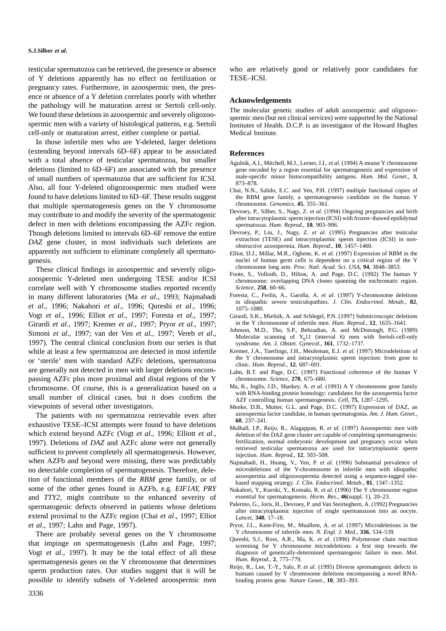testicular spermatozoa can be retrieved, the presence or absence of Y deletions apparently has no effect on fertilization or pregnancy rates. Furthermore, in azoospermic men, the presence or absence of a Y deletion correlates poorly with whether the pathology will be maturation arrest or Sertoli cell-only. We found these deletions in azoospermic and severely oligozoospermic men with a variety of histological patterns, e.g. Sertoli cell-only or maturation arrest, either complete or partial.

In those infertile men who are Y-deleted, larger deletions (extending beyond intervals 6D–6F) appear to be associated with a total absence of testicular spermatozoa, but smaller deletions (limited to 6D–6F) are associated with the presence of small numbers of spermatozoa that are sufficient for ICSI. Also, all four Y-deleted oligozoospermic men studied were found to have deletions limited to 6D–6F. These results suggest that multiple spermatogenesis genes on the Y chromosome may contribute to and modify the severity of the spermatogenic defect in men with deletions encompassing the AZFc region. Though deletions limited to intervals 6D–6F remove the entire *DAZ* gene cluster, in most individuals such deletions are apparently not sufficient to eliminate completely all spermatogenesis.

These clinical findings in azoospermic and severely oligozoospermic Y-deleted men undergoing TESE and/or ICSI correlate well with Y chromosome studies reported recently in many different laboratories (Ma *et al*., 1993; Najmabadi *et al*., 1996; Nakahori *et al*., 1996; Qureshi *et al*., 1996; Vogt *et al*., 1996; Elliot *et al*., 1997; Foresta *et al*., 1997; Girardi *et al*., 1997; Kremer *et al*., 1997; Pryor *et al*., 1997; Simoni *et al*., 1997; van der Ven *et al*., 1997; Vereb *et al*., 1997). The central clinical conclusion from our series is that while at least a few spermatozoa are detected in most infertile or 'sterile' men with standard AZFc deletions, spermatozoa are generally not detected in men with larger deletions encompassing AZFc plus more proximal and distal regions of the Y chromosome. Of course, this is a generalization based on a small number of clinical cases, but it does confirm the viewpoints of several other investigators.

The patients with no spermatozoa retrievable even after exhaustive TESE–ICSI attempts were found to have deletions which extend beyond AZFc (Vogt *et al*., 1996; Elliott *et al*., 1997). Deletions of *DAZ* and AZFc alone were not generally sufficient to prevent completely all spermatogenesis. However, when AZFb and beyond were missing, there was predictably no detectable completion of spermatogenesis. Therefore, deletion of functional members of the *RBM* gene family, or of some of the other genes found in AZFb, e.g. *EIF1AY*, *PRY* and *TTY2*, might contribute to the enhanced severity of spermatogenic defects observed in patients whose deletions extend proximal to the AZFc region (Chai *et al*., 1997; Elliot *et al*., 1997; Lahn and Page, 1997).

There are probably several genes on the Y chromosome that impinge on spermatogenesis (Lahn and Page, 1997; Vogt *et al*., 1997). It may be the total effect of all these spermatogenesis genes on the Y chromosome that determines sperm production rates. Our studies suggest that it will be possible to identify subsets of Y-deleted azoospermic men

who are relatively good or relatively poor candidates for TESE–ICSI.

#### **Acknowledgements**

The molecular genetic studies of adult azoospermic and oligozoospermic men (but not clinical services) were supported by the National Institutes of Health. D.C.P. is an investigator of the Howard Hughes Medical Institute.

#### **References**

- Agulnik, A.I., Mitchell, M.J., Lerner, J.L. *et al*. (1994) A mouse Y chromosome gene encoded by a region essential for spermatogenesis and expression of male-specific minor histocompatibility antigens. *Hum. Mol. Genet*., **3**, 873–878.
- Chai, N.N., Salido, E.C. and Yen, P.H. (1997) multiple functional copies of the RBM gene family, a spermatogenesis candidate on the human Y chromosome. *Genomics*, **45**, 355–361.
- Devroey, P., Silber, S., Nagy, Z. *et al*. (1994) Ongoing pregnancies and birth after intracytoplasmic sperm injection (ICSI) with frozen–thawed epididymal spermatozoa. *Hum. Reprod*., **10**, 903–906.
- Devroey, P., Liu, J., Nagy, Z. *et al*. (1995) Pregnancies after testicular extraction (TESE) and intracytoplasmic sperm injection (ICSI) in nonobstructive azoospermia. *Hum. Reprod*., **10**, 1457–1460.
- Elliot, D.J., Millar, M.R., Oghene, K. *et al*. (1997) Expression of RBM in the nuclei of human germ cells is dependent on a critical region of the Y chromosome long arm. *Proc. Natl. Acad. Sci. USA*, **94**, 3848–3853.
- Foote, S., Vollrath, D., Hilton, A. and Page, D.C. (1992) The human Y chromosome: overlapping DNA clones spanning the euchromatic region. *Science*, **258**, 60–66.
- Foresta, C., Ferlin, A., Garolla, A. *et al*. (1997) Y-chromosome deletions in idiopathic severe testiculopathies. *J. Clin. Endocrinol. Metab*., **82**, 1075–1080.
- Girardi, S.K., Mielnik, A. and Schlegel, P.N. (1997) Submicroscopic deletions in the Y chromosome of infertile men. *Hum. Reprod*., **12**, 1635–1641.
- Johnson, M.D., Tho, S.P., Behzadian, A. and McDonough, P.G. (1989) Molecular scanning of  $Y_q$ 11 (interval 6) men with Sertoli-cell-only syndrome. *Am. J. Obstet. Gynecol*., **161**, 1732–1737.
- Kremer, J.A., Tuerlings, J.H., Meuleman, E.J. *et al*. (1997) Microdeletions of the Y chromosome and intracytoplasmic sperm injection: from gene to clinic. *Hum. Reprod*., **12**, 687–691.
- Lahn, B.T. and Page, D.C. (1997) Functional coherence of the human Y chromosome. *Science*, **278**, 675–680.
- Ma, K., Inglis, J.D., Sharkey, A. *et al*. (1993) A Y chromosome gene family with RNA-binding protein homology: candidates for the azoospermia factor AZF controlling human spermatogenesis. *Cell*, **75**, 1287–1295.
- Menke, D.B., Mutter, G.L. and Page, D.C. (1997) Expression of DAZ, an azoospermia factor candidate, in human spermatogonia. *Am. J. Hum. Genet*., **60**, 237–241.
- Mulhall, J.P., Reijo, R., Alagappan, R. *et al*. (1997) Azoospermic men with deletion of the DAZ gene cluster are capable of completing spermatogenesis: fertilization, normal embryonic development and pregnancy occur when retrieved testicular spermatozoa are used for intracytoplasmic sperm injection. *Hum. Reprod*., **12**, 503–508.
- Najmabadi, H., Huang, V., Yen, P. *et al*. (1996) Substantial prevalence of microdeletions of the Y-chromosome in infertile men with idiopathic azoospermia and oligozoospermia detected using a sequence-tagged sitebased mapping strategy. *J. Clin. Endocrinol. Metab*., **81**, 1347–1352.
- Nakahori, Y., Kuroki, Y., Komaki, R. *et al*. (1996) The Y chromosome region essential for spermatogenesis. *Horm. Res*., **46**(suppl. 1), 20–23.
- Palermo, G., Joris, H., Devroey, P. and Van Steirteghem, A. (1992) Pregnancies after intracytoplasmic injection of single spermatozoon into an oocyte. *Lancet*, **340**, 17–18.
- Pryor, J.L., Kent-First, M., Muallem, A. *et al*. (1997) Microdeletions in the Y chromosome of infertile men. *N. Engl. J. Med*., **336**, 534–539.
- Qureshi, S.J., Ross, A.R., Ma, K. *et al*. (1996) Polymerase chain reaction screening for Y chromosome microdeletions: a first step towards the diagnosis of genetically-determined spermatogenic failure in men. *Mol. Hum. Reprod*., **2**, 775–779.
- Reijo, R., Lee, T.-Y., Salo, P. *et al*. (1995) Diverse spermatogenic defects in humans caused by Y chromosome deletions encompassing a novel RNAbinding protein gene. *Nature Genet*., **10**, 383–393.